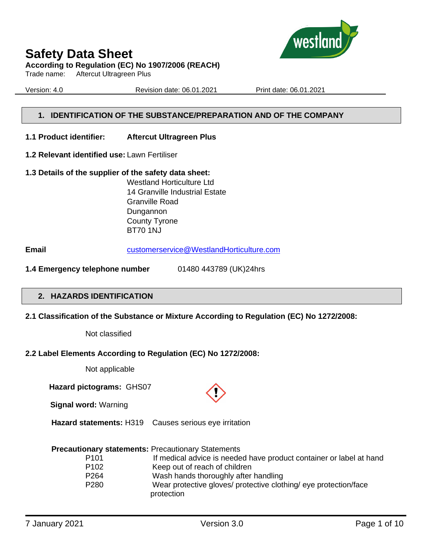

#### **According to Regulation (EC) No 1907/2006 (REACH)**

Trade name: Aftercut Ultragreen Plus

Version: 4.0 Revision date: 06.01.2021 Print date: 06.01.2021

#### **1. IDENTIFICATION OF THE SUBSTANCE/PREPARATION AND OF THE COMPANY**

#### **1.1 Product identifier: Aftercut Ultragreen Plus**

- **1.2 Relevant identified use:** Lawn Fertiliser
- **1.3 Details of the supplier of the safety data sheet:** Westland Horticulture Ltd 14 Granville Industrial Estate Granville Road

Dungannon County Tyrone BT70 1NJ

**Email** [customerservice@WestlandHorticulture.com](mailto:customerservice@WestlandHorticulture.com)

**1.4 Emergency telephone number** 01480 443789 (UK)24hrs

#### **2. HAZARDS IDENTIFICATION**

**2.1 Classification of the Substance or Mixture According to Regulation (EC) No 1272/2008:**

Not classified

#### **2.2 Label Elements According to Regulation (EC) No 1272/2008:**

Not applicable

 **Hazard pictograms:** GHS07

**Signal word:** Warning

 **Hazard statements:** H319 Causes serious eye irritation

#### **Precautionary statements:** Precautionary Statements

| P <sub>101</sub> | If medical advice is needed have product container or label at hand |
|------------------|---------------------------------------------------------------------|
| P <sub>102</sub> | Keep out of reach of children                                       |
| P <sub>264</sub> | Wash hands thoroughly after handling                                |
| P <sub>280</sub> | Wear protective gloves/ protective clothing/ eye protection/face    |
|                  | protection                                                          |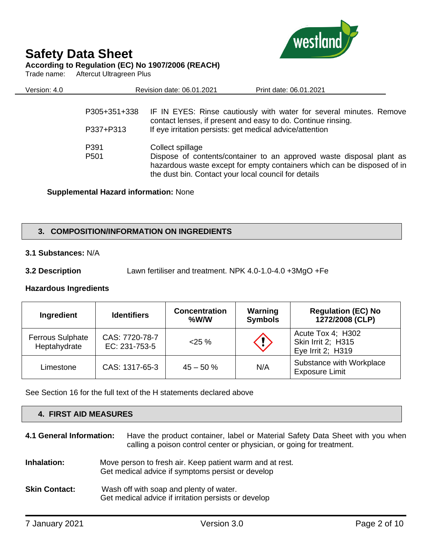

**According to Regulation (EC) No 1907/2006 (REACH)**

Trade name: Aftercut Ultragreen Plus

| Version: 4.0 |                          | Revision date: 06.01.2021 | Print date: 06.01.2021                                                                                                                                                                                  |  |
|--------------|--------------------------|---------------------------|---------------------------------------------------------------------------------------------------------------------------------------------------------------------------------------------------------|--|
|              | P305+351+338             |                           | IF IN EYES: Rinse cautiously with water for several minutes. Remove<br>contact lenses, if present and easy to do. Continue rinsing.                                                                     |  |
|              | P337+P313                |                           | If eye irritation persists: get medical advice/attention                                                                                                                                                |  |
|              | P391<br>P <sub>501</sub> | Collect spillage          | Dispose of contents/container to an approved waste disposal plant as<br>hazardous waste except for empty containers which can be disposed of in<br>the dust bin. Contact your local council for details |  |
|              |                          |                           |                                                                                                                                                                                                         |  |

#### **Supplemental Hazard information:** None

#### **3. COMPOSITION/INFORMATION ON INGREDIENTS**

#### **3.1 Substances:** N/A

**3.2 Description** Lawn fertiliser and treatment. NPK 4.0-1.0-4.0 +3MgO +Fe

#### **Hazardous Ingredients**

| Ingredient                              | <b>Identifiers</b>              | <b>Concentration</b><br>$%$ W/W | Warning<br><b>Symbols</b> | <b>Regulation (EC) No</b><br>1272/2008 (CLP)                 |
|-----------------------------------------|---------------------------------|---------------------------------|---------------------------|--------------------------------------------------------------|
| <b>Ferrous Sulphate</b><br>Heptahydrate | CAS: 7720-78-7<br>EC: 231-753-5 | $25 \%$                         | $\langle \cdot \rangle$   | Acute Tox 4; H302<br>Skin Irrit 2; H315<br>Eye Irrit 2; H319 |
| Limestone                               | CAS: 1317-65-3                  | $45 - 50%$                      | N/A                       | Substance with Workplace<br><b>Exposure Limit</b>            |

See Section 16 for the full text of the H statements declared above

| 4. FIRST AID MEASURES    |                                                                                                                                                        |  |
|--------------------------|--------------------------------------------------------------------------------------------------------------------------------------------------------|--|
| 4.1 General Information: | Have the product container, label or Material Safety Data Sheet with you when<br>calling a poison control center or physician, or going for treatment. |  |
| Inhalation:              | Move person to fresh air. Keep patient warm and at rest.<br>Get medical advice if symptoms persist or develop                                          |  |
| <b>Skin Contact:</b>     | Wash off with soap and plenty of water.<br>Get medical advice if irritation persists or develop                                                        |  |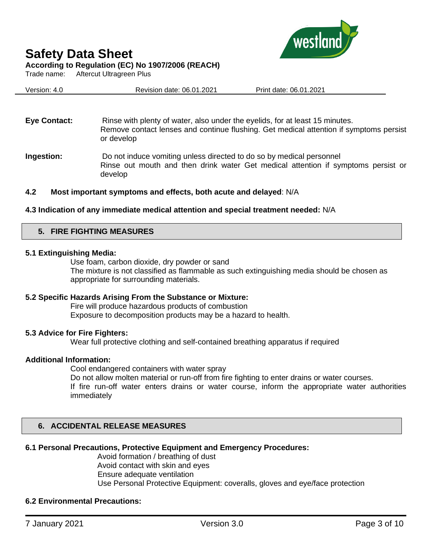

west



#### **According to Regulation (EC) No 1907/2006 (REACH)**

Trade name: Aftercut Ultragreen Plus

| Version: 4.0 | Revision date: 06.01.2021 | Print date: 06.01.2021 |
|--------------|---------------------------|------------------------|
|              |                           |                        |

**Eye Contact:** Rinse with plenty of water, also under the eyelids, for at least 15 minutes. Remove contact lenses and continue flushing. Get medical attention if symptoms persist or develop

**Ingestion:** Do not induce vomiting unless directed to do so by medical personnel Rinse out mouth and then drink water Get medical attention if symptoms persist or develop

#### **4.2 Most important symptoms and effects, both acute and delayed**: N/A

#### **4.3 Indication of any immediate medical attention and special treatment needed:** N/A

#### **5. FIRE FIGHTING MEASURES**

#### **5.1 Extinguishing Media:**

Use foam, carbon dioxide, dry powder or sand The mixture is not classified as flammable as such extinguishing media should be chosen as appropriate for surrounding materials.

#### **5.2 Specific Hazards Arising From the Substance or Mixture:**

Fire will produce hazardous products of combustion Exposure to decomposition products may be a hazard to health.

#### **5.3 Advice for Fire Fighters:**

Wear full protective clothing and self-contained breathing apparatus if required

#### **Additional Information:**

Cool endangered containers with water spray

Do not allow molten material or run-off from fire fighting to enter drains or water courses.

If fire run-off water enters drains or water course, inform the appropriate water authorities immediately

#### **6. ACCIDENTAL RELEASE MEASURES**

#### **6.1 Personal Precautions, Protective Equipment and Emergency Procedures:**

Avoid formation / breathing of dust Avoid contact with skin and eyes Ensure adequate ventilation Use Personal Protective Equipment: coveralls, gloves and eye/face protection

#### **6.2 Environmental Precautions:**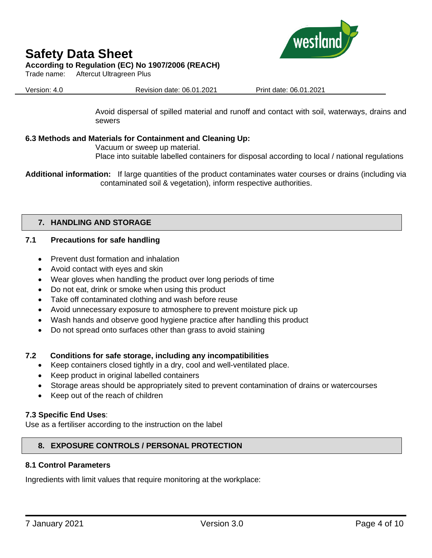

#### **According to Regulation (EC) No 1907/2006 (REACH)**

Trade name: Aftercut Ultragreen Plus

Version: 4.0 Revision date: 06.01.2021 Print date: 06.01.2021

Avoid dispersal of spilled material and runoff and contact with soil, waterways, drains and sewers

#### **6.3 Methods and Materials for Containment and Cleaning Up:**

Vacuum or sweep up material.

Place into suitable labelled containers for disposal according to local / national regulations

**Additional information:** If large quantities of the product contaminates water courses or drains (including via contaminated soil & vegetation), inform respective authorities.

#### **7. HANDLING AND STORAGE**

#### **7.1 Precautions for safe handling**

- Prevent dust formation and inhalation
- Avoid contact with eyes and skin
- Wear gloves when handling the product over long periods of time
- Do not eat, drink or smoke when using this product
- Take off contaminated clothing and wash before reuse
- Avoid unnecessary exposure to atmosphere to prevent moisture pick up
- Wash hands and observe good hygiene practice after handling this product
- Do not spread onto surfaces other than grass to avoid staining

#### **7.2 Conditions for safe storage, including any incompatibilities**

- Keep containers closed tightly in a dry, cool and well-ventilated place.
- Keep product in original labelled containers
- Storage areas should be appropriately sited to prevent contamination of drains or watercourses
- Keep out of the reach of children

#### **7.3 Specific End Uses**:

Use as a fertiliser according to the instruction on the label

#### **8. EXPOSURE CONTROLS / PERSONAL PROTECTION**

#### **8.1 Control Parameters**

Ingredients with limit values that require monitoring at the workplace: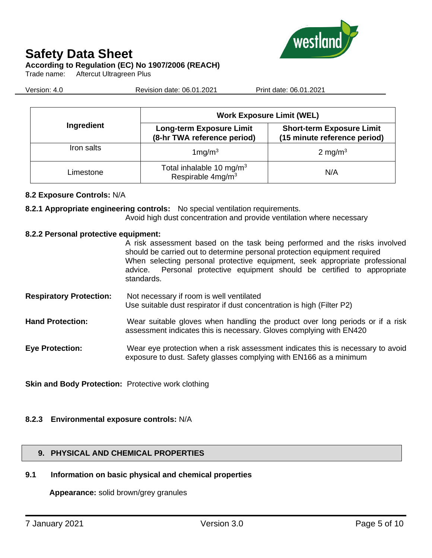

#### **According to Regulation (EC) No 1907/2006 (REACH)**

Trade name: Aftercut Ultragreen Plus

Version: 4.0 Revision date: 06.01.2021 Print date: 06.01.2021

|            | <b>Work Exposure Limit (WEL)</b>                                      |                                                                  |  |  |
|------------|-----------------------------------------------------------------------|------------------------------------------------------------------|--|--|
| Ingredient | <b>Long-term Exposure Limit</b><br>(8-hr TWA reference period)        | <b>Short-term Exposure Limit</b><br>(15 minute reference period) |  |  |
| Iron salts | $1$ mg/m $3$                                                          | 2 mg/m $3$                                                       |  |  |
| Limestone  | Total inhalable 10 mg/m <sup>3</sup><br>Respirable 4mg/m <sup>3</sup> | N/A                                                              |  |  |

#### **8.2 Exposure Controls:** N/A

**8.2.1 Appropriate engineering controls:** No special ventilation requirements.

Avoid high dust concentration and provide ventilation where necessary

#### **8.2.2 Personal protective equipment:**

A risk assessment based on the task being performed and the risks involved should be carried out to determine personal protection equipment required When selecting personal protective equipment, seek appropriate professional advice. Personal protective equipment should be certified to appropriate standards.

- **Respiratory Protection:** Not necessary if room is well ventilated Use suitable dust respirator if dust concentration is high (Filter P2)
- **Hand Protection:** Wear suitable gloves when handling the product over long periods or if a risk assessment indicates this is necessary. Gloves complying with EN420
- **Eye Protection:** Wear eye protection when a risk assessment indicates this is necessary to avoid exposure to dust. Safety glasses complying with EN166 as a minimum

**Skin and Body Protection:** Protective work clothing

#### **8.2.3 Environmental exposure controls:** N/A

#### **9. PHYSICAL AND CHEMICAL PROPERTIES**

#### **9.1 Information on basic physical and chemical properties**

**Appearance:** solid brown/grey granules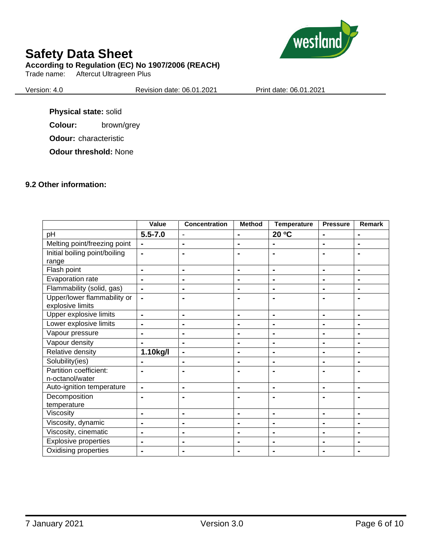

#### **According to Regulation (EC) No 1907/2006 (REACH)**

Trade name: Aftercut Ultragreen Plus

Version: 4.0 Revision date: 06.01.2021 Print date: 06.01.2021

**Physical state:** solid

**Colour:** brown/grey

**Odour:** characteristic

**Odour threshold:** None

#### **9.2 Other information:**

|                                                 | Value          | <b>Concentration</b> | <b>Method</b>  | <b>Temperature</b> | <b>Pressure</b> | Remark         |
|-------------------------------------------------|----------------|----------------------|----------------|--------------------|-----------------|----------------|
| pH                                              | $5.5 - 7.0$    | $\blacksquare$       | $\blacksquare$ | 20 °C              | $\blacksquare$  | $\blacksquare$ |
| Melting point/freezing point                    | $\blacksquare$ |                      | $\blacksquare$ |                    | $\blacksquare$  |                |
| Initial boiling point/boiling<br>range          | $\blacksquare$ |                      |                |                    | $\blacksquare$  |                |
| Flash point                                     | $\blacksquare$ | $\blacksquare$       | $\blacksquare$ | $\blacksquare$     | $\blacksquare$  | $\blacksquare$ |
| Evaporation rate                                | $\blacksquare$ | $\blacksquare$       | $\blacksquare$ | $\blacksquare$     | $\blacksquare$  | $\blacksquare$ |
| Flammability (solid, gas)                       | $\blacksquare$ | $\blacksquare$       | $\blacksquare$ | $\blacksquare$     | $\blacksquare$  | $\blacksquare$ |
| Upper/lower flammability or<br>explosive limits | $\blacksquare$ | -                    | ۰              |                    | $\blacksquare$  |                |
| Upper explosive limits                          | $\blacksquare$ | $\blacksquare$       | $\blacksquare$ | $\blacksquare$     | $\blacksquare$  | $\blacksquare$ |
| Lower explosive limits                          | $\blacksquare$ | $\blacksquare$       | $\blacksquare$ | $\blacksquare$     | $\blacksquare$  | $\blacksquare$ |
| Vapour pressure                                 | $\blacksquare$ | $\blacksquare$       | $\blacksquare$ | $\blacksquare$     | $\blacksquare$  | $\blacksquare$ |
| Vapour density                                  | $\blacksquare$ | $\blacksquare$       | $\blacksquare$ | $\blacksquare$     | $\blacksquare$  | $\blacksquare$ |
| Relative density                                | 1.10kg/l       | $\blacksquare$       | $\blacksquare$ | $\blacksquare$     |                 | $\blacksquare$ |
| Solubility(ies)                                 |                | ۰                    | $\blacksquare$ |                    | ۰               |                |
| Partition coefficient:                          |                |                      |                |                    | $\blacksquare$  |                |
| n-octanol/water                                 |                |                      |                |                    |                 |                |
| Auto-ignition temperature                       | $\blacksquare$ | $\blacksquare$       | $\blacksquare$ | $\blacksquare$     | $\blacksquare$  | $\blacksquare$ |
| Decomposition<br>temperature                    | $\blacksquare$ | -                    |                |                    | $\blacksquare$  |                |
| Viscosity                                       | $\blacksquare$ | $\blacksquare$       | $\blacksquare$ | $\blacksquare$     | $\blacksquare$  | $\blacksquare$ |
| Viscosity, dynamic                              | $\blacksquare$ | $\blacksquare$       | $\blacksquare$ | $\blacksquare$     | $\blacksquare$  | $\blacksquare$ |
| Viscosity, cinematic                            | $\blacksquare$ | ۰                    | $\blacksquare$ | $\blacksquare$     | $\blacksquare$  | $\blacksquare$ |
| <b>Explosive properties</b>                     | $\blacksquare$ | ۰                    | $\blacksquare$ | $\blacksquare$     | $\blacksquare$  | $\blacksquare$ |
|                                                 |                |                      |                |                    |                 |                |
| Oxidising properties                            |                |                      |                |                    |                 |                |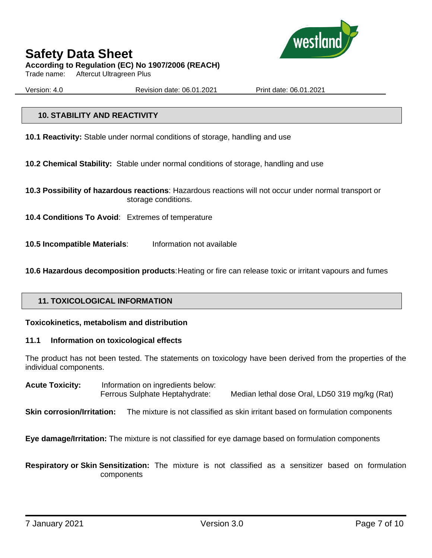

**According to Regulation (EC) No 1907/2006 (REACH)**

Trade name: Aftercut Ultragreen Plus

Version: 4.0 Revision date: 06.01.2021 Print date: 06.01.2021

#### **10. STABILITY AND REACTIVITY**

**10.1 Reactivity:** Stable under normal conditions of storage, handling and use

**10.2 Chemical Stability:** Stable under normal conditions of storage, handling and use

- **10.3 Possibility of hazardous reactions**: Hazardous reactions will not occur under normal transport or storage conditions.
- **10.4 Conditions To Avoid**: Extremes of temperature

**10.5 Incompatible Materials**: Information not available

**10.6 Hazardous decomposition products**:Heating or fire can release toxic or irritant vapours and fumes

#### **11. TOXICOLOGICAL INFORMATION**

#### **Toxicokinetics, metabolism and distribution**

#### **11.1 Information on toxicological effects**

The product has not been tested. The statements on toxicology have been derived from the properties of the individual components.

**Acute Toxicity:** Information on ingredients below: Ferrous Sulphate Heptahydrate: Median lethal dose Oral, LD50 319 mg/kg (Rat)

**Skin corrosion/Irritation:** The mixture is not classified as skin irritant based on formulation components

**Eye damage/Irritation:** The mixture is not classified for eye damage based on formulation components

**Respiratory or Skin Sensitization:** The mixture is not classified as a sensitizer based on formulation components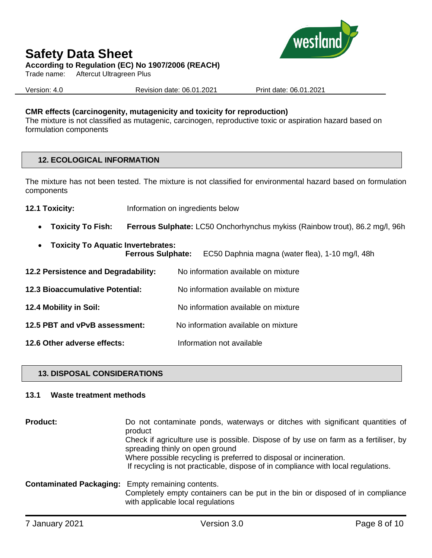

**According to Regulation (EC) No 1907/2006 (REACH)**

Trade name: Aftercut Ultragreen Plus

Version: 4.0 Revision date: 06.01.2021 Print date: 06.01.2021

#### **CMR effects (carcinogenity, mutagenicity and toxicity for reproduction)**

The mixture is not classified as mutagenic, carcinogen, reproductive toxic or aspiration hazard based on formulation components

#### **12. ECOLOGICAL INFORMATION**

The mixture has not been tested. The mixture is not classified for environmental hazard based on formulation components

- **12.1 Toxicity:** Information on ingredients below
	- **Toxicity To Fish: Ferrous Sulphate:** LC50 Onchorhynchus mykiss (Rainbow trout), 86.2 mg/l, 96h
	- **Toxicity To Aquatic Invertebrates: Ferrous Sulphate:** EC50 Daphnia magna (water flea), 1-10 mg/l, 48h
- **12.2 Persistence and Degradability:** No information available on mixture **12.3 Bioaccumulative Potential:** No information available on mixture **12.4 Mobility in Soil:** No information available on mixture **12.5 PBT and vPvB assessment:** No information available on mixture **12.6 Other adverse effects:** Information not available

#### **13. DISPOSAL CONSIDERATIONS**

#### **13.1 Waste treatment methods**

| <b>Product:</b>                                          | Do not contaminate ponds, waterways or ditches with significant quantities of<br>product                                                                                                                                                                                          |
|----------------------------------------------------------|-----------------------------------------------------------------------------------------------------------------------------------------------------------------------------------------------------------------------------------------------------------------------------------|
|                                                          | Check if agriculture use is possible. Dispose of by use on farm as a fertiliser, by<br>spreading thinly on open ground<br>Where possible recycling is preferred to disposal or incineration.<br>If recycling is not practicable, dispose of in compliance with local regulations. |
| <b>Contaminated Packaging:</b> Empty remaining contents. | Completely empty containers can be put in the bin or disposed of in compliance<br>with applicable local regulations                                                                                                                                                               |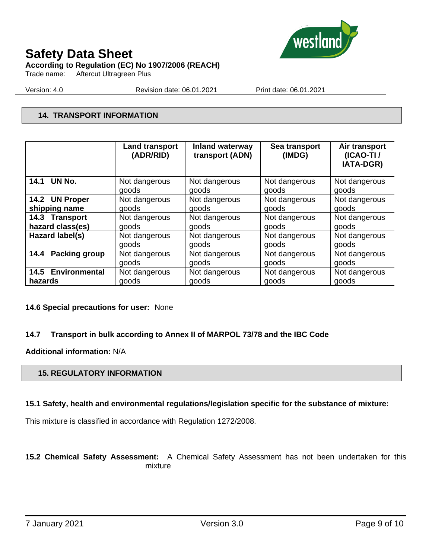

### **Safety Data Sheet According to Regulation (EC) No 1907/2006 (REACH)**

Trade name: Aftercut Ultragreen Plus

Version: 4.0 Revision date: 06.01.2021 Print date: 06.01.2021

#### **14. TRANSPORT INFORMATION**

|                    | <b>Land transport</b><br>(ADR/RID) | <b>Inland waterway</b><br>transport (ADN) | Sea transport<br>(IMDG) | Air transport<br>$(ICAO-TI)$<br><b>IATA-DGR)</b> |
|--------------------|------------------------------------|-------------------------------------------|-------------------------|--------------------------------------------------|
| UN No.             | Not dangerous                      | Not dangerous                             | Not dangerous           | Not dangerous                                    |
| 14.1               | goods                              | goods                                     | goods                   | goods                                            |
| 14.2 UN Proper     | Not dangerous                      | Not dangerous                             | Not dangerous           | Not dangerous                                    |
| shipping name      | goods                              | goods                                     | goods                   | goods                                            |
| 14.3 Transport     | Not dangerous                      | Not dangerous                             | Not dangerous           | Not dangerous                                    |
| hazard class(es)   | goods                              | goods                                     | goods                   | goods                                            |
| Hazard label(s)    | Not dangerous                      | Not dangerous                             | Not dangerous           | Not dangerous                                    |
|                    | goods                              | goods                                     | goods                   | goods                                            |
| Packing group      | Not dangerous                      | Not dangerous                             | Not dangerous           | Not dangerous                                    |
| 14.4               | goods                              | goods                                     | goods                   | goods                                            |
| 14.5 Environmental | Not dangerous                      | Not dangerous                             | Not dangerous           | Not dangerous                                    |
| hazards            | goods                              | goods                                     | goods                   | goods                                            |

#### **14.6 Special precautions for user:** None

#### **14.7 Transport in bulk according to Annex II of MARPOL 73/78 and the IBC Code**

**Additional information:** N/A

#### **15. REGULATORY INFORMATION**

#### **15.1 Safety, health and environmental regulations/legislation specific for the substance of mixture:**

This mixture is classified in accordance with Regulation 1272/2008.

**15.2 Chemical Safety Assessment:** A Chemical Safety Assessment has not been undertaken for this mixture